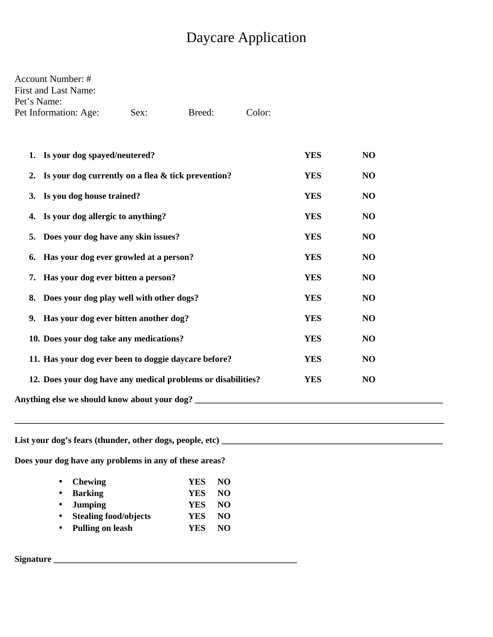## **Daycare Application**

| Account Number: #     |      |        |        |
|-----------------------|------|--------|--------|
| First and Last Name:  |      |        |        |
| Pet's Name:           |      |        |        |
| Pet Information: Age: | Sex: | Breed: | Color: |

| 1. Is your dog spayed/neutered?                              | <b>YES</b> | NO             |  |
|--------------------------------------------------------------|------------|----------------|--|
| 2. Is your dog currently on a flea & tick prevention?        | <b>YES</b> | N <sub>O</sub> |  |
| 3. Is you dog house trained?                                 | <b>YES</b> | NO             |  |
| 4. Is your dog allergic to anything?                         | <b>YES</b> | NO             |  |
| Does your dog have any skin issues?<br>5.                    | <b>YES</b> | NO             |  |
| 6. Has your dog ever growled at a person?                    | <b>YES</b> | NO             |  |
| 7. Has your dog ever bitten a person?                        | <b>YES</b> | NO             |  |
| 8. Does your dog play well with other dogs?                  | <b>YES</b> | NO             |  |
| Has your dog ever bitten another dog?<br>9.                  | <b>YES</b> | N <sub>O</sub> |  |
| 10. Does your dog take any medications?                      | <b>YES</b> | NO             |  |
| 11. Has your dog ever been to doggie daycare before?         | <b>YES</b> | N <sub>O</sub> |  |
| 12. Does your dog have any medical problems or disabilities? | <b>YES</b> | N <sub>O</sub> |  |
| Anything else we should know about your dog?                 |            |                |  |
|                                                              |            |                |  |

Does your dog have any problems in any of these areas?

| • Chewing               | <b>YES</b> | - NO |
|-------------------------|------------|------|
| • Barking               | <b>YES</b> | - NO |
| • Jumping               | <b>YES</b> | - NO |
| • Stealing food/objects | <b>YES</b> | NO.  |
| • Pulling on leash      | YES.       | NO.  |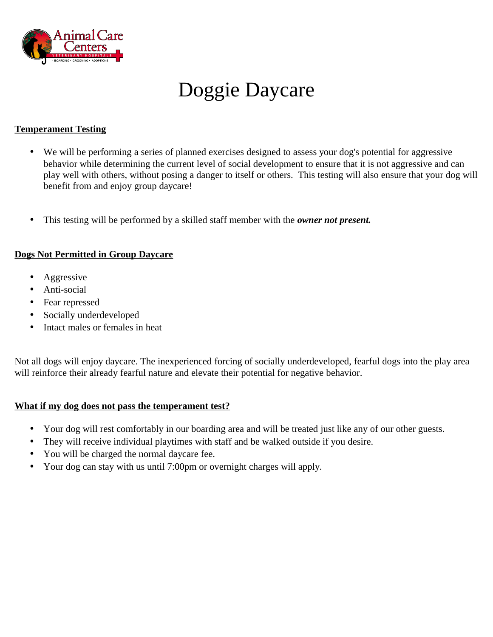

# Doggie Daycare

#### **Temperament Testing**

- We will be performing a series of planned exercises designed to assess your dog's potential for aggressive  $\bullet$ behavior while determining the current level of social development to ensure that it is not aggressive and can play well with others, without posing a danger to itself or others. This testing will also ensure that your dog will benefit from and enjoy group daycare!
- This testing will be performed by a skilled staff member with the owner not present.  $\bullet$

#### **Dogs Not Permitted in Group Daycare**

- Aggressive  $\bullet$
- Anti-social  $\bullet$
- Fear repressed
- Socially underdeveloped  $\bullet$
- Intact males or females in heat  $\bullet$

Not all dogs will enjoy daycare. The inexperienced forcing of socially underdeveloped, fearful dogs into the play area will reinforce their already fearful nature and elevate their potential for negative behavior.

#### What if my dog does not pass the temperament test?

- Your dog will rest comfortably in our boarding area and will be treated just like any of our other guests.  $\bullet$
- They will receive individual playtimes with staff and be walked outside if you desire.  $\bullet$
- You will be charged the normal daycare fee.  $\bullet$
- Your dog can stay with us until 7:00pm or overnight charges will apply.  $\bullet$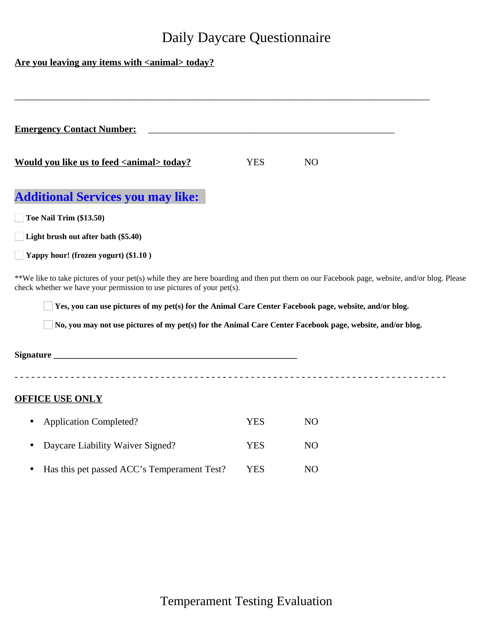### **Daily Daycare Questionnaire**

#### Are you leaving any items with <animal> today?

| <b>Emergency Contact Number:</b>                                                                                                                                                                                     |            |    |  |
|----------------------------------------------------------------------------------------------------------------------------------------------------------------------------------------------------------------------|------------|----|--|
| Would you like us to feed <animal> today?</animal>                                                                                                                                                                   | <b>YES</b> | NO |  |
| <b>Additional Services you may like:</b>                                                                                                                                                                             |            |    |  |
| Toe Nail Trim (\$13.50)                                                                                                                                                                                              |            |    |  |
| Light brush out after bath (\$5.40)                                                                                                                                                                                  |            |    |  |
| $\blacksquare$ Yappy hour! (frozen yogurt) (\$1.10)                                                                                                                                                                  |            |    |  |
| **We like to take pictures of your pet(s) while they are here boarding and then put them on our Facebook page, website, and/or blog. Please<br>check whether we have your permission to use pictures of your pet(s). |            |    |  |

 $\Box$  Yes, you can use pictures of my pet(s) for the Animal Care Center Facebook page, website, and/or blog.

□ No, you may not use pictures of my pet(s) for the Animal Care Center Facebook page, website, and/or blog.

**OFFICE USE ONLY** 

| • Application Completed?                      | YES  | NO. |
|-----------------------------------------------|------|-----|
| • Daycare Liability Waiver Signed?            | YES  | NO. |
| • Has this pet passed ACC's Temperament Test? | YES. | NO. |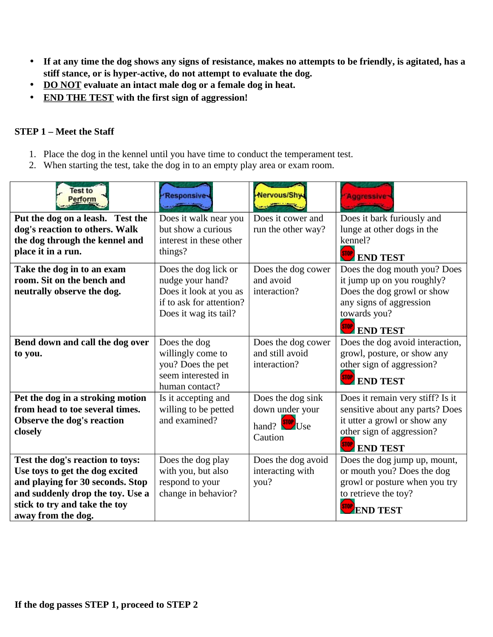- If at any time the dog shows any signs of resistance, makes no attempts to be friendly, is agitated, has a  $\bullet$ stiff stance, or is hyper-active, do not attempt to evaluate the dog.
- DO NOT evaluate an intact male dog or a female dog in heat.  $\bullet$
- **END THE TEST with the first sign of aggression!**  $\bullet$

#### **STEP 1 - Meet the Staff**

- 1. Place the dog in the kennel until you have time to conduct the temperament test.
- 2. When starting the test, take the dog in to an empty play area or exam room.

| Test to<br>Perform                                                                                                                                                                                 | <b>Responsive</b>                                                                                                       | Nervous/Shy                                                              | <b>Aggressive</b>                                                                                                                                                  |
|----------------------------------------------------------------------------------------------------------------------------------------------------------------------------------------------------|-------------------------------------------------------------------------------------------------------------------------|--------------------------------------------------------------------------|--------------------------------------------------------------------------------------------------------------------------------------------------------------------|
| Put the dog on a leash. Test the<br>dog's reaction to others. Walk<br>the dog through the kennel and<br>place it in a run.                                                                         | Does it walk near you<br>but show a curious<br>interest in these other<br>things?                                       | Does it cower and<br>run the other way?                                  | Does it bark furiously and<br>lunge at other dogs in the<br>kennel?<br><b>END TEST</b>                                                                             |
| Take the dog in to an exam<br>room. Sit on the bench and<br>neutrally observe the dog.                                                                                                             | Does the dog lick or<br>nudge your hand?<br>Does it look at you as<br>if to ask for attention?<br>Does it wag its tail? | Does the dog cower<br>and avoid<br>interaction?                          | Does the dog mouth you? Does<br>it jump up on you roughly?<br>Does the dog growl or show<br>any signs of aggression<br>towards you?<br><b>END TEST</b>             |
| Bend down and call the dog over<br>to you.                                                                                                                                                         | Does the dog<br>willingly come to<br>you? Does the pet<br>seem interested in<br>human contact?                          | Does the dog cower<br>and still avoid<br>interaction?                    | Does the dog avoid interaction,<br>growl, posture, or show any<br>other sign of aggression?<br><b>STOP</b> END TEST                                                |
| Pet the dog in a stroking motion<br>from head to toe several times.<br><b>Observe the dog's reaction</b><br>closely                                                                                | Is it accepting and<br>willing to be petted<br>and examined?                                                            | Does the dog sink<br>down under your<br>hand? <b>SIOP</b> Use<br>Caution | Does it remain very stiff? Is it<br>sensitive about any parts? Does<br>it utter a growl or show any<br>other sign of aggression?<br><b>STOP</b><br><b>END TEST</b> |
| Test the dog's reaction to toys:<br>Use toys to get the dog excited<br>and playing for 30 seconds. Stop<br>and suddenly drop the toy. Use a<br>stick to try and take the toy<br>away from the dog. | Does the dog play<br>with you, but also<br>respond to your<br>change in behavior?                                       | Does the dog avoid<br>interacting with<br>you?                           | Does the dog jump up, mount,<br>or mouth you? Does the dog<br>growl or posture when you try<br>to retrieve the toy?<br><b>END TEST</b>                             |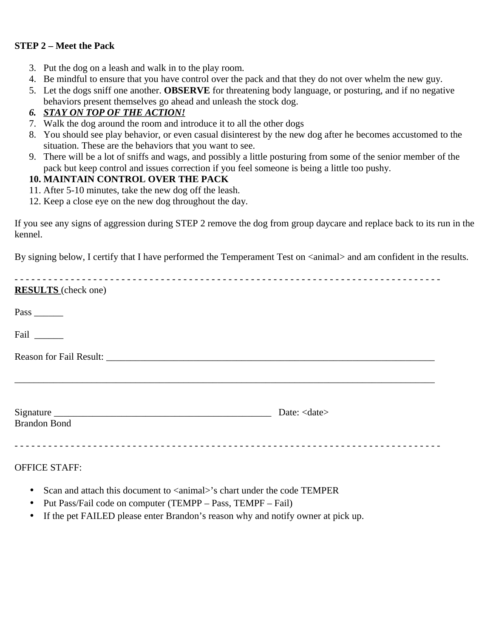#### **STEP 2 - Meet the Pack**

- 3. Put the dog on a leash and walk in to the play room.
- 4. Be mindful to ensure that you have control over the pack and that they do not over whelm the new guy.
- 5. Let the dogs sniff one another. **OBSERVE** for threatening body language, or posturing, and if no negative behaviors present themselves go ahead and unleash the stock dog.

#### 6. STAY ON TOP OF THE ACTION!

- 7. Walk the dog around the room and introduce it to all the other dogs
- 8. You should see play behavior, or even casual disinterest by the new dog after he becomes accustomed to the situation. These are the behaviors that you want to see.
- 9. There will be a lot of sniffs and wags, and possibly a little posturing from some of the senior member of the pack but keep control and issues correction if you feel someone is being a little too pushy.

#### **10. MAINTAIN CONTROL OVER THE PACK**

- 11. After 5-10 minutes, take the new dog off the leash.
- 12. Keep a close eye on the new dog throughout the day.

If you see any signs of aggression during STEP 2 remove the dog from group daycare and replace back to its run in the kennel.

By signing below, I certify that I have performed the Temperament Test on <animal> and am confident in the results.

| _ _ _ _ _ _ _ _ _ _ _ _ _ _ _ _ _ _ _ | __________________________ |
|---------------------------------------|----------------------------|
| <b>RESULTS</b> (check one)            |                            |
| Pass $\_\_\_\_\_\_\_\$                |                            |
| Fail                                  |                            |
|                                       |                            |
| <b>Brandon Bond</b>                   | Date: <date></date>        |
|                                       |                            |

**OFFICE STAFF:** 

- Scan and attach this document to <animal>'s chart under the code TEMPER  $\bullet$
- Put Pass/Fail code on computer (TEMPP Pass, TEMPF Fail)
- If the pet FAILED please enter Brandon's reason why and notify owner at pick up.  $\bullet$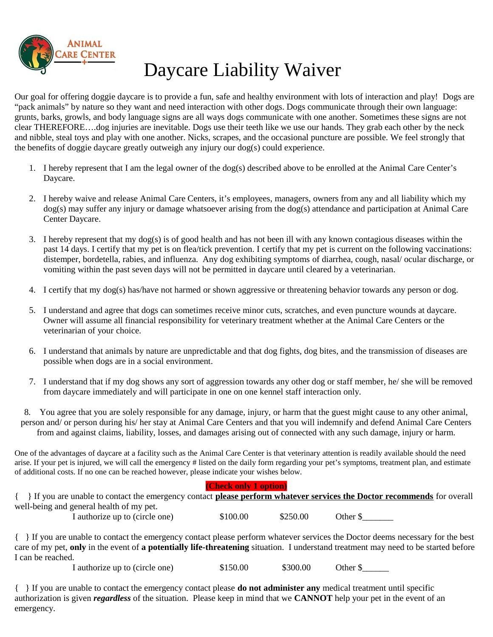

## Daycare Liability Waiver

Our goal for offering doggie daycare is to provide a fun, safe and healthy environment with lots of interaction and play! Dogs are "pack animals" by nature so they want and need interaction with other dogs. Dogs communicate through their own language: grunts, barks, growls, and body language signs are all ways dogs communicate with one another. Sometimes these signs are not clear THEREFORE....dog injuries are inevitable. Dogs use their teeth like we use our hands. They grab each other by the neck and nibble, steal toys and play with one another. Nicks, scrapes, and the occasional puncture are possible. We feel strongly that the benefits of doggie day care greatly outweigh any injury our  $\log(s)$  could experience.

- 1. I hereby represent that I am the legal owner of the dog(s) described above to be enrolled at the Animal Care Center's Davcare.
- 2. I hereby waive and release Animal Care Centers, it's employees, managers, owners from any and all liability which my dog(s) may suffer any injury or damage whatsoever arising from the dog(s) attendance and participation at Animal Care Center Daycare.
- 3. I hereby represent that my dog(s) is of good health and has not been ill with any known contagious diseases within the past 14 days. I certify that my pet is on flea/tick prevention. I certify that my pet is current on the following vaccinations: distemper, bordetella, rabies, and influenza. Any dog exhibiting symptoms of diarrhea, cough, nasal/ocular discharge, or vomiting within the past seven days will not be permitted in daycare until cleared by a veterinarian.
- 4. I certify that my dog(s) has/have not harmed or shown aggressive or threatening behavior towards any person or dog.
- 5. I understand and agree that dogs can sometimes receive minor cuts, scratches, and even puncture wounds at daycare. Owner will assume all financial responsibility for veterinary treatment whether at the Animal Care Centers or the veterinarian of your choice.
- 6. I understand that animals by nature are unpredictable and that dog fights, dog bites, and the transmission of diseases are possible when dogs are in a social environment.
- 7. I understand that if my dog shows any sort of aggression towards any other dog or staff member, he/ she will be removed from daycare immediately and will participate in one on one kennel staff interaction only.

8. You agree that you are solely responsible for any damage, injury, or harm that the guest might cause to any other animal, person and/ or person during his/ her stay at Animal Care Centers and that you will indemnify and defend Animal Care Centers from and against claims, liability, losses, and damages arising out of connected with any such damage, injury or harm.

One of the advantages of daycare at a facility such as the Animal Care Center is that veterinary attention is readily available should the need arise. If your pet is injured, we will call the emergency # listed on the daily form regarding your pet's symptoms, treatment plan, and estimate of additional costs. If no one can be reached however, please indicate your wishes below.

#### (Check only 1 option)

{ } If you are unable to contact the emergency contact please perform whatever services the Doctor recommends for overall well-being and general health of my pet. \$100.00

I authorize up to (circle one)

\$250.00

Other \$

{ } If you are unable to contact the emergency contact please perform whatever services the Doctor deems necessary for the best care of my pet, only in the event of a potentially life-threatening situation. I understand treatment may need to be started before I can be reached.

> I authorize up to (circle one) \$150.00 \$300.00 Other \$

 $\{\ \}$  If you are unable to contact the emergency contact please **do not administer any** medical treatment until specific authorization is given *regardless* of the situation. Please keep in mind that we **CANNOT** help your pet in the event of an emergency.